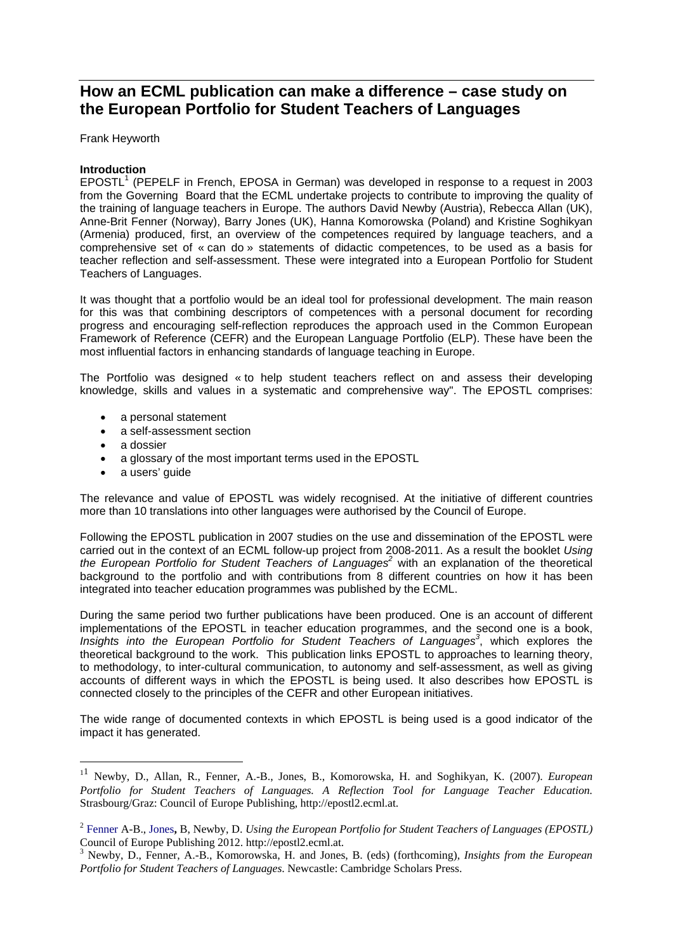# **How an ECML publication can make a difference – case study on the European Portfolio for Student Teachers of Languages**

Frank Heyworth

## **Introduction**

EPOSTL<sup>1</sup> (PEPELF in French, EPOSA in German) was developed in response to a request in 2003 from the Governing Board that the ECML undertake projects to contribute to improving the quality of the training of language teachers in Europe. The authors David Newby (Austria), Rebecca Allan (UK), Anne-Brit Fenner (Norway), Barry Jones (UK), Hanna Komorowska (Poland) and Kristine Soghikyan (Armenia) produced, first, an overview of the competences required by language teachers, and a comprehensive set of « can do » statements of didactic competences, to be used as a basis for teacher reflection and self-assessment. These were integrated into a European Portfolio for Student Teachers of Languages.

It was thought that a portfolio would be an ideal tool for professional development. The main reason for this was that combining descriptors of competences with a personal document for recording progress and encouraging self-reflection reproduces the approach used in the Common European Framework of Reference (CEFR) and the European Language Portfolio (ELP). These have been the most influential factors in enhancing standards of language teaching in Europe.

The Portfolio was designed « to help student teachers reflect on and assess their developing knowledge, skills and values in a systematic and comprehensive way". The EPOSTL comprises:

- a personal statement
- a self-assessment section
- a dossier

<u>.</u>

- a glossary of the most important terms used in the EPOSTL
- a users' quide

The relevance and value of EPOSTL was widely recognised. At the initiative of different countries more than 10 translations into other languages were authorised by the Council of Europe.

Following the EPOSTL publication in 2007 studies on the use and dissemination of the EPOSTL were carried out in the context of an ECML follow-up project from 2008-2011. As a result the booklet *Using*  the European Portfolio for Student Teachers of Languages<sup>2</sup> with an explanation of the theoretical background to the portfolio and with contributions from 8 different countries on how it has been integrated into teacher education programmes was published by the ECML.

During the same period two further publications have been produced. One is an account of different implementations of the EPOSTL in teacher education programmes, and the second one is a book, Insights into the European Portfolio for Student Teachers of Languages<sup>3</sup>, which explores the theoretical background to the work. This publication links EPOSTL to approaches to learning theory, to methodology, to inter-cultural communication, to autonomy and self-assessment, as well as giving accounts of different ways in which the EPOSTL is being used. It also describes how EPOSTL is connected closely to the principles of the CEFR and other European initiatives.

The wide range of documented contexts in which EPOSTL is being used is a good indicator of the impact it has generated.

<sup>11</sup> Newby, D., Allan, R., Fenner, A.-B., Jones, B., Komorowska, H. and Soghikyan, K. (2007). *European Portfolio for Student Teachers of Languages. A Reflection Tool for Language Teacher Education.*  Strasbourg/Graz: Council of Europe Publishing, http://epostl2.ecml.at.

<sup>2</sup> Fenner A-B., Jones**,** B, Newby, D. *Using the European Portfolio for Student Teachers of Languages (EPOSTL)* Council of Europe Publishing 2012. http://epostl2.ecml.at.

<sup>3</sup> Newby, D., Fenner, A.-B., Komorowska, H. and Jones, B. (eds) (forthcoming), *Insights from the European Portfolio for Student Teachers of Languages*. Newcastle: Cambridge Scholars Press.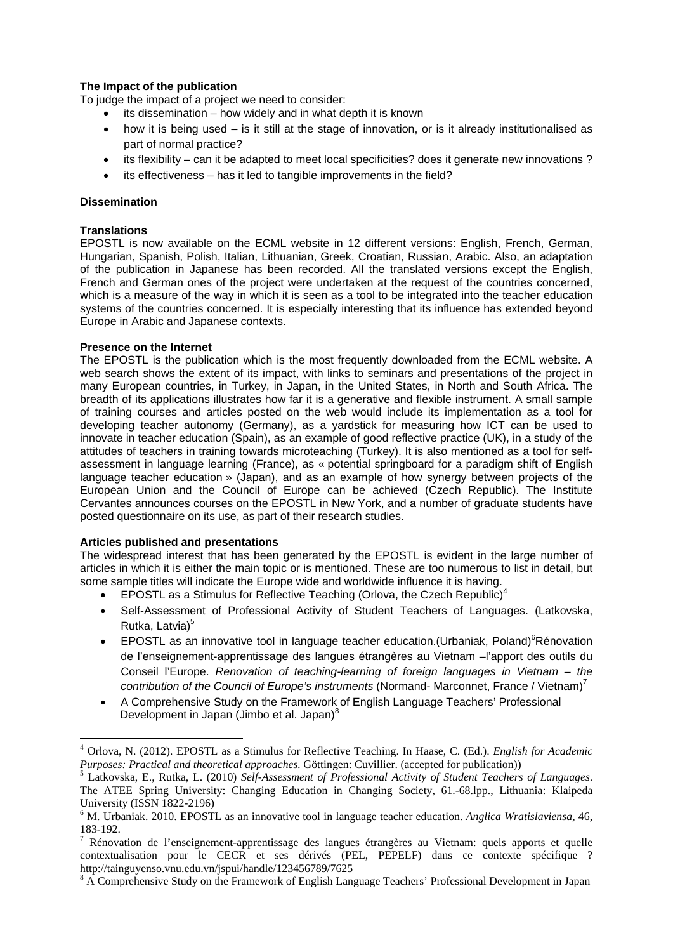# **The Impact of the publication**

To judge the impact of a project we need to consider:

- its dissemination how widely and in what depth it is known
- how it is being used is it still at the stage of innovation, or is it already institutionalised as part of normal practice?
- its flexibility can it be adapted to meet local specificities? does it generate new innovations ?
- its effectiveness has it led to tangible improvements in the field?

## **Dissemination**

## **Translations**

<u>.</u>

EPOSTL is now available on the ECML website in 12 different versions: English, French, German, Hungarian, Spanish, Polish, Italian, Lithuanian, Greek, Croatian, Russian, Arabic. Also, an adaptation of the publication in Japanese has been recorded. All the translated versions except the English, French and German ones of the project were undertaken at the request of the countries concerned, which is a measure of the way in which it is seen as a tool to be integrated into the teacher education systems of the countries concerned. It is especially interesting that its influence has extended beyond Europe in Arabic and Japanese contexts.

## **Presence on the Internet**

The EPOSTL is the publication which is the most frequently downloaded from the ECML website. A web search shows the extent of its impact, with links to seminars and presentations of the project in many European countries, in Turkey, in Japan, in the United States, in North and South Africa. The breadth of its applications illustrates how far it is a generative and flexible instrument. A small sample of training courses and articles posted on the web would include its implementation as a tool for developing teacher autonomy (Germany), as a yardstick for measuring how ICT can be used to innovate in teacher education (Spain), as an example of good reflective practice (UK), in a study of the attitudes of teachers in training towards microteaching (Turkey). It is also mentioned as a tool for selfassessment in language learning (France), as « potential springboard for a paradigm shift of English language teacher education » (Japan), and as an example of how synergy between projects of the European Union and the Council of Europe can be achieved (Czech Republic). The Institute Cervantes announces courses on the EPOSTL in New York, and a number of graduate students have posted questionnaire on its use, as part of their research studies.

## **Articles published and presentations**

The widespread interest that has been generated by the EPOSTL is evident in the large number of articles in which it is either the main topic or is mentioned. These are too numerous to list in detail, but some sample titles will indicate the Europe wide and worldwide influence it is having.

- **EPOSTL** as a Stimulus for Reflective Teaching (Orlova, the Czech Republic)<sup>4</sup>
- Self-Assessment of Professional Activity of Student Teachers of Languages. (Latkovska, Rutka, Latvia)<sup>5</sup>
- **EPOSTL** as an innovative tool in language teacher education. (Urbaniak, Poland)<sup>6</sup>Rénovation de l'enseignement-apprentissage des langues étrangères au Vietnam –l'apport des outils du Conseil l'Europe. *Renovation of teaching-learning of foreign languages in Vietnam – the contribution of the Council of Europe's instruments* (Normand- Marconnet, France / Vietnam)<sup>7</sup>
- A Comprehensive Study on the Framework of English Language Teachers' Professional Development in Japan (Jimbo et al. Japan)<sup>8</sup>

<sup>4</sup> Orlova, N. (2012). EPOSTL as a Stimulus for Reflective Teaching. In Haase, C. (Ed.). *English for Academic Purposes: Practical and theoretical approaches.* Göttingen: Cuvillier. (accepted for publication))

Latkovska, E., Rutka, L. (2010) *Self-Assessment of Professional Activity of Student Teachers of Languages*. The ATEE Spring University: Changing Education in Changing Society, 61.-68.lpp., Lithuania: Klaipeda University (ISSN 1822-2196)

<sup>6</sup> M. Urbaniak. 2010. EPOSTL as an innovative tool in language teacher education. *Anglica Wratislaviensa,* 46, 183-192.

<sup>7</sup> Rénovation de l'enseignement-apprentissage des langues étrangères au Vietnam: quels apports et quelle contextualisation pour le CECR et ses dérivés (PEL, PEPELF) dans ce contexte spécifique ? http://tainguyenso.vnu.edu.vn/jspui/handle/123456789/7625 8

<sup>&</sup>lt;sup>8</sup> A Comprehensive Study on the Framework of English Language Teachers' Professional Development in Japan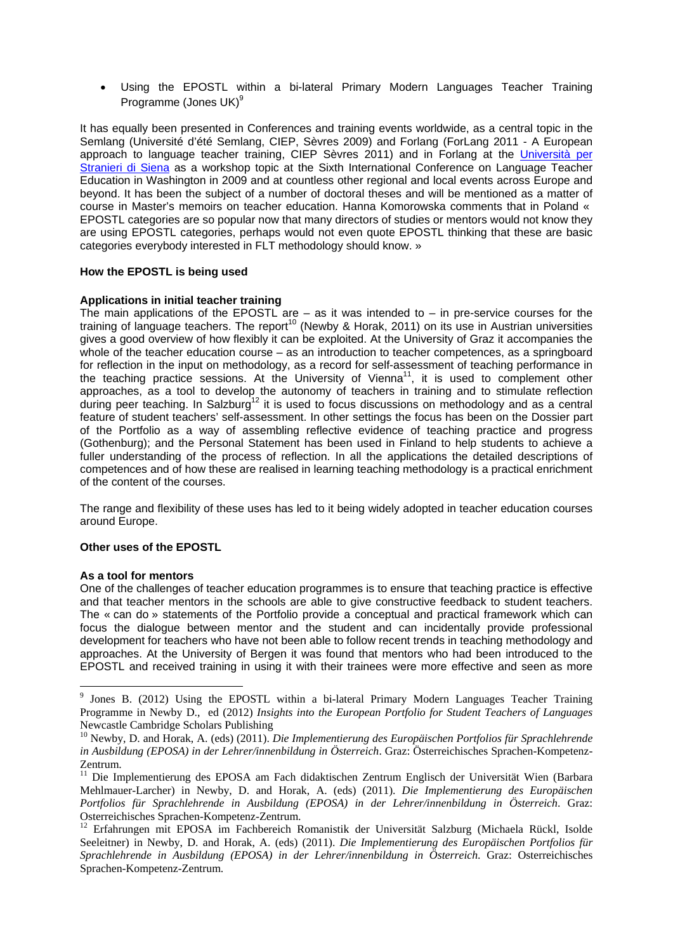Using the EPOSTL within a bi-lateral Primary Modern Languages Teacher Training Programme (Jones UK)<sup>9</sup>

It has equally been presented in Conferences and training events worldwide, as a central topic in the Semlang (Université d'été Semlang, CIEP, Sèvres 2009) and Forlang (ForLang 2011 - A European approach to language teacher training, CIEP Sèvres 2011) and in Forlang at the Università per Stranieri di Siena as a workshop topic at the Sixth International Conference on Language Teacher Education in Washington in 2009 and at countless other regional and local events across Europe and beyond. It has been the subject of a number of doctoral theses and will be mentioned as a matter of course in Master's memoirs on teacher education. Hanna Komorowska comments that in Poland « EPOSTL categories are so popular now that many directors of studies or mentors would not know they are using EPOSTL categories, perhaps would not even quote EPOSTL thinking that these are basic categories everybody interested in FLT methodology should know. »

## **How the EPOSTL is being used**

#### **Applications in initial teacher training**

The main applications of the EPOSTL are  $-$  as it was intended to  $-$  in pre-service courses for the training of language teachers. The report<sup>10</sup> (Newby & Horak, 2011) on its use in Austrian universities gives a good overview of how flexibly it can be exploited. At the University of Graz it accompanies the whole of the teacher education course – as an introduction to teacher competences, as a springboard for reflection in the input on methodology, as a record for self-assessment of teaching performance in the teaching practice sessions. At the University of Vienna<sup>11</sup>, it is used to complement other approaches, as a tool to develop the autonomy of teachers in training and to stimulate reflection during peer teaching. In Salzburg<sup>12</sup> it is used to focus discussions on methodology and as a central feature of student teachers' self-assessment. In other settings the focus has been on the Dossier part of the Portfolio as a way of assembling reflective evidence of teaching practice and progress (Gothenburg); and the Personal Statement has been used in Finland to help students to achieve a fuller understanding of the process of reflection. In all the applications the detailed descriptions of competences and of how these are realised in learning teaching methodology is a practical enrichment of the content of the courses.

The range and flexibility of these uses has led to it being widely adopted in teacher education courses around Europe.

#### **Other uses of the EPOSTL**

#### **As a tool for mentors**

One of the challenges of teacher education programmes is to ensure that teaching practice is effective and that teacher mentors in the schools are able to give constructive feedback to student teachers. The « can do » statements of the Portfolio provide a conceptual and practical framework which can focus the dialogue between mentor and the student and can incidentally provide professional development for teachers who have not been able to follow recent trends in teaching methodology and approaches. At the University of Bergen it was found that mentors who had been introduced to the EPOSTL and received training in using it with their trainees were more effective and seen as more

<sup>&</sup>lt;sup>9</sup> Jones B. (2012) Using the EPOSTL within a bi-lateral Primary Modern Languages Teacher Training Programme in Newby D., ed (2012) *Insights into the European Portfolio for Student Teachers of Languages*  Newcastle Cambridge Scholars Publishing

<sup>10</sup> Newby, D. and Horak, A. (eds) (2011). *Die Implementierung des Europäischen Portfolios für Sprachlehrende in Ausbildung (EPOSA) in der Lehrer/innenbildung in Österreich*. Graz: Österreichisches Sprachen-Kompetenz-Zentrum.

<sup>&</sup>lt;sup>11</sup> Die Implementierung des EPOSA am Fach didaktischen Zentrum Englisch der Universität Wien (Barbara Mehlmauer-Larcher) in Newby, D. and Horak, A. (eds) (2011). *Die Implementierung des Europäischen Portfolios für Sprachlehrende in Ausbildung (EPOSA) in der Lehrer/innenbildung in Österreich*. Graz: Osterreichisches Sprachen-Kompetenz-Zentrum.

<sup>&</sup>lt;sup>12</sup> Erfahrungen mit EPOSA im Fachbereich Romanistik der Universität Salzburg (Michaela Rückl, Isolde Seeleitner) in Newby, D. and Horak, A. (eds) (2011). *Die Implementierung des Europäischen Portfolios für Sprachlehrende in Ausbildung (EPOSA) in der Lehrer/innenbildung in Österreich*. Graz: Osterreichisches Sprachen-Kompetenz-Zentrum.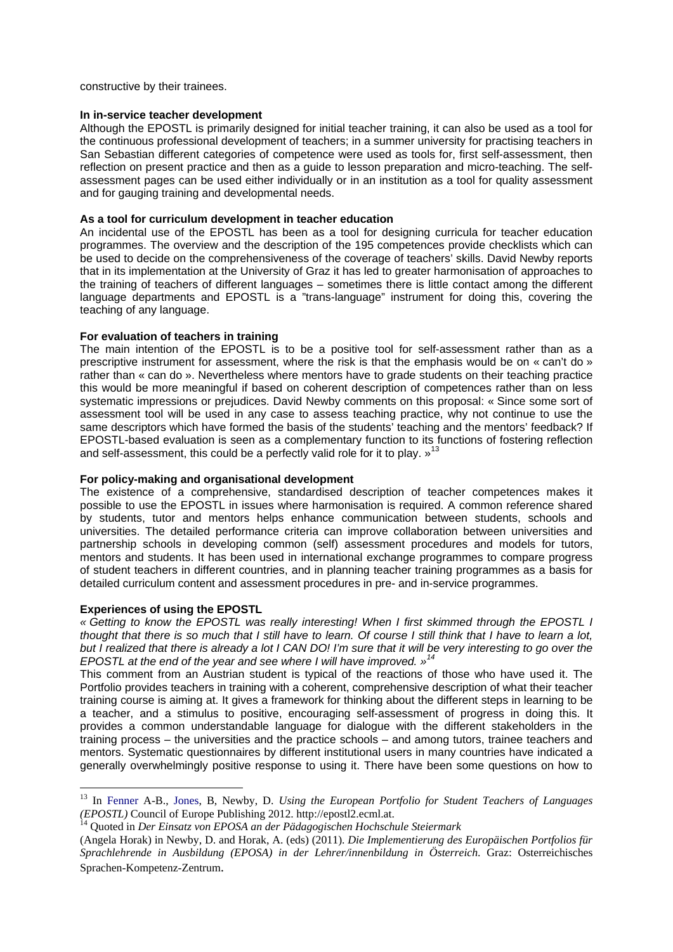constructive by their trainees.

#### **In in-service teacher development**

Although the EPOSTL is primarily designed for initial teacher training, it can also be used as a tool for the continuous professional development of teachers; in a summer university for practising teachers in San Sebastian different categories of competence were used as tools for, first self-assessment, then reflection on present practice and then as a guide to lesson preparation and micro-teaching. The selfassessment pages can be used either individually or in an institution as a tool for quality assessment and for gauging training and developmental needs.

#### **As a tool for curriculum development in teacher education**

An incidental use of the EPOSTL has been as a tool for designing curricula for teacher education programmes. The overview and the description of the 195 competences provide checklists which can be used to decide on the comprehensiveness of the coverage of teachers' skills. David Newby reports that in its implementation at the University of Graz it has led to greater harmonisation of approaches to the training of teachers of different languages – sometimes there is little contact among the different language departments and EPOSTL is a "trans-language" instrument for doing this, covering the teaching of any language.

#### **For evaluation of teachers in training**

The main intention of the EPOSTL is to be a positive tool for self-assessment rather than as a prescriptive instrument for assessment, where the risk is that the emphasis would be on « can't do » rather than « can do ». Nevertheless where mentors have to grade students on their teaching practice this would be more meaningful if based on coherent description of competences rather than on less systematic impressions or prejudices. David Newby comments on this proposal: « Since some sort of assessment tool will be used in any case to assess teaching practice, why not continue to use the same descriptors which have formed the basis of the students' teaching and the mentors' feedback? If EPOSTL-based evaluation is seen as a complementary function to its functions of fostering reflection and self-assessment, this could be a perfectly valid role for it to play.  $\frac{13}{2}$ 

#### **For policy-making and organisational development**

The existence of a comprehensive, standardised description of teacher competences makes it possible to use the EPOSTL in issues where harmonisation is required. A common reference shared by students, tutor and mentors helps enhance communication between students, schools and universities. The detailed performance criteria can improve collaboration between universities and partnership schools in developing common (self) assessment procedures and models for tutors, mentors and students. It has been used in international exchange programmes to compare progress of student teachers in different countries, and in planning teacher training programmes as a basis for detailed curriculum content and assessment procedures in pre- and in-service programmes.

#### **Experiences of using the EPOSTL**

1

*« Getting to know the EPOSTL was really interesting! When I first skimmed through the EPOSTL I thought that there is so much that I still have to learn. Of course I still think that I have to learn a lot, but I realized that there is already a lot I CAN DO! I'm sure that it will be very interesting to go over the EPOSTL at the end of the year and see where I will have improved. »<sup>14</sup>*

This comment from an Austrian student is typical of the reactions of those who have used it. The Portfolio provides teachers in training with a coherent, comprehensive description of what their teacher training course is aiming at. It gives a framework for thinking about the different steps in learning to be a teacher, and a stimulus to positive, encouraging self-assessment of progress in doing this. It provides a common understandable language for dialogue with the different stakeholders in the training process – the universities and the practice schools – and among tutors, trainee teachers and mentors. Systematic questionnaires by different institutional users in many countries have indicated a generally overwhelmingly positive response to using it. There have been some questions on how to

<sup>13</sup> In Fenner A-B., Jones, B, Newby, D. *Using the European Portfolio for Student Teachers of Languages (EPOSTL)* Council of Europe Publishing 2012. http://epostl2.ecml.at. 14 Quoted in *Der Einsatz von EPOSA an der Pädagogischen Hochschule Steiermark*

<sup>(</sup>Angela Horak) in Newby, D. and Horak, A. (eds) (2011). *Die Implementierung des Europäischen Portfolios für Sprachlehrende in Ausbildung (EPOSA) in der Lehrer/innenbildung in Österreich*. Graz: Osterreichisches Sprachen-Kompetenz-Zentrum.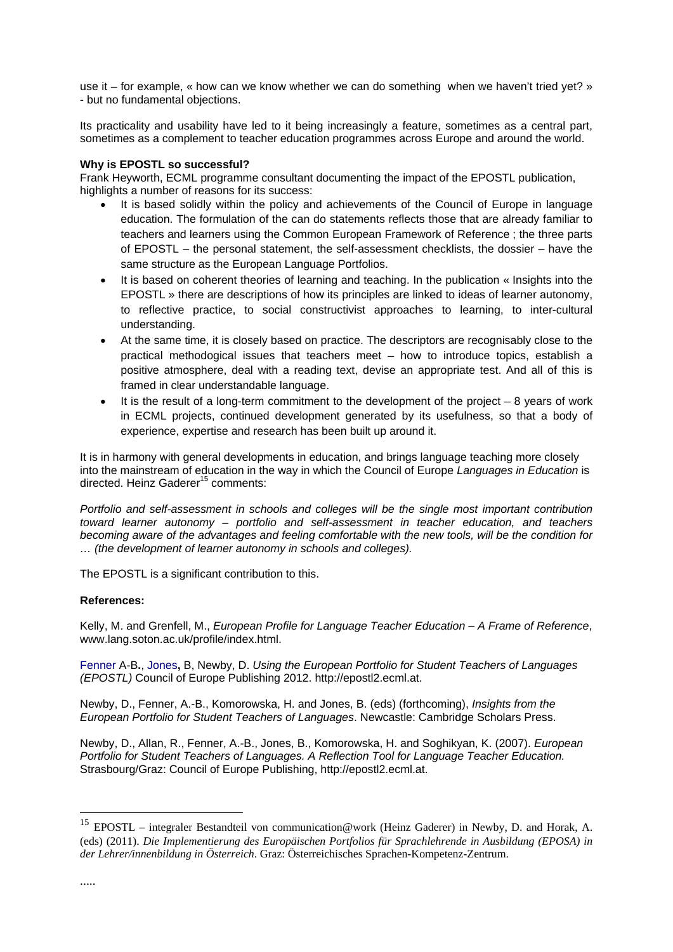use it – for example, « how can we know whether we can do something when we haven't tried yet? » - but no fundamental objections.

Its practicality and usability have led to it being increasingly a feature, sometimes as a central part, sometimes as a complement to teacher education programmes across Europe and around the world.

## **Why is EPOSTL so successful?**

Frank Heyworth, ECML programme consultant documenting the impact of the EPOSTL publication, highlights a number of reasons for its success:

- It is based solidly within the policy and achievements of the Council of Europe in language education. The formulation of the can do statements reflects those that are already familiar to teachers and learners using the Common European Framework of Reference ; the three parts of EPOSTL – the personal statement, the self-assessment checklists, the dossier – have the same structure as the European Language Portfolios.
- It is based on coherent theories of learning and teaching. In the publication « Insights into the EPOSTL » there are descriptions of how its principles are linked to ideas of learner autonomy, to reflective practice, to social constructivist approaches to learning, to inter-cultural understanding.
- At the same time, it is closely based on practice. The descriptors are recognisably close to the practical methodogical issues that teachers meet – how to introduce topics, establish a positive atmosphere, deal with a reading text, devise an appropriate test. And all of this is framed in clear understandable language.
- It is the result of a long-term commitment to the development of the project  $-8$  years of work in ECML projects, continued development generated by its usefulness, so that a body of experience, expertise and research has been built up around it.

It is in harmony with general developments in education, and brings language teaching more closely into the mainstream of education in the way in which the Council of Europe *Languages in Education* is directed. Heinz Gaderer<sup>15</sup> comments:

*Portfolio and self-assessment in schools and colleges will be the single most important contribution toward learner autonomy – portfolio and self-assessment in teacher education, and teachers becoming aware of the advantages and feeling comfortable with the new tools, will be the condition for … (the development of learner autonomy in schools and colleges).*

The EPOSTL is a significant contribution to this.

#### **References:**

Kelly, M. and Grenfell, M., *European Profile for Language Teacher Education – A Frame of Reference*, www.lang.soton.ac.uk/profile/index.html.

Fenner A-B**.**, Jones**,** B, Newby, D. *Using the European Portfolio for Student Teachers of Languages (EPOSTL)* Council of Europe Publishing 2012. http://epostl2.ecml.at.

Newby, D., Fenner, A.-B., Komorowska, H. and Jones, B. (eds) (forthcoming), *Insights from the European Portfolio for Student Teachers of Languages*. Newcastle: Cambridge Scholars Press.

Newby, D., Allan, R., Fenner, A.-B., Jones, B., Komorowska, H. and Soghikyan, K. (2007). *European Portfolio for Student Teachers of Languages. A Reflection Tool for Language Teacher Education.*  Strasbourg/Graz: Council of Europe Publishing, http://epostl2.ecml.at.

1

<sup>&</sup>lt;sup>15</sup> EPOSTL – integraler Bestandteil von communication@work (Heinz Gaderer) in Newby, D. and Horak, A. (eds) (2011). *Die Implementierung des Europäischen Portfolios für Sprachlehrende in Ausbildung (EPOSA) in der Lehrer/innenbildung in Österreich*. Graz: Österreichisches Sprachen-Kompetenz-Zentrum.